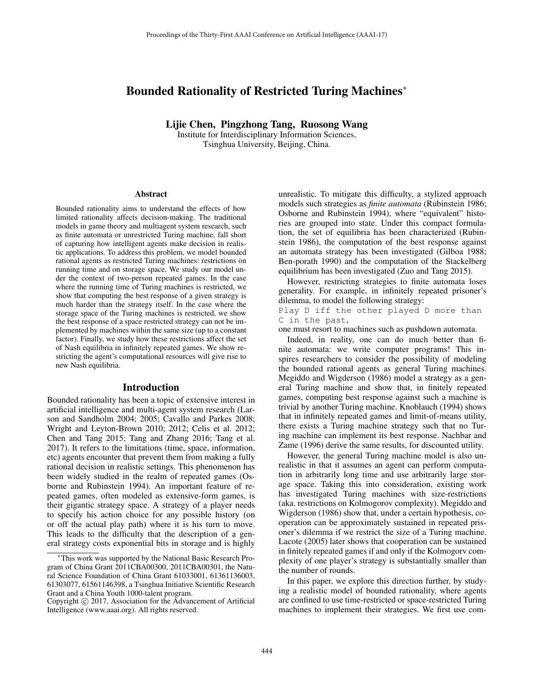# Bounded Rationality of Restricted Turing Machines<sup>∗</sup>

Lijie Chen, Pingzhong Tang, Ruosong Wang

Institute for Interdisciplinary Information Sciences, Tsinghua University, Beijing, China.

#### **Abstract**

Bounded rationality aims to understand the effects of how limited rationality affects decision-making. The traditional models in game theory and multiagent system research, such as finite automata or unrestricted Turing machine, fall short of capturing how intelligent agents make decision in realistic applications. To address this problem, we model bounded rational agents as restricted Turing machines: restrictions on running time and on storage space. We study our model under the context of two-person repeated games. In the case where the running time of Turing machines is restricted, we show that computing the best response of a given strategy is much harder than the strategy itself. In the case where the storage space of the Turing machines is restricted, we show the best response of a space restricted strategy can not be implemented by machines within the same size (up to a constant factor). Finally, we study how these restrictions affect the set of Nash equilibria in infinitely repeated games. We show restricting the agent's computational resources will give rise to new Nash equilibria.

#### Introduction

Bounded rationality has been a topic of extensive interest in artificial intelligence and multi-agent system research (Larson and Sandholm 2004; 2005; Cavallo and Parkes 2008; Wright and Leyton-Brown 2010; 2012; Celis et al. 2012; Chen and Tang 2015; Tang and Zhang 2016; Tang et al. 2017). It refers to the limitations (time, space, information, etc) agents encounter that prevent them from making a fully rational decision in realistic settings. This phenomenon has been widely studied in the realm of repeated games (Osborne and Rubinstein 1994). An important feature of repeated games, often modeled as extensive-form games, is their gigantic strategy space. A strategy of a player needs to specify his action choice for any possible history (on or off the actual play path) where it is his turn to move. This leads to the difficulty that the description of a general strategy costs exponential bits in storage and is highly

unrealistic. To mitigate this difficulty, a stylized approach models such strategies as *finite automata* (Rubinstein 1986; Osborne and Rubinstein 1994), where "equivalent" histories are grouped into state. Under this compact formulation, the set of equilibria has been characterized (Rubinstein 1986), the computation of the best response against an automata strategy has been investigated (Gilboa 1988; Ben-porath 1990) and the computation of the Stackelberg equilibrium has been investigated (Zuo and Tang 2015).

However, restricting strategies to finite automata loses generality. For example, in infinitely repeated prisoner's dilemma, to model the following strategy:

Play D iff the other played D more than C in the past,

one must resort to machines such as pushdown automata.

Indeed, in reality, one can do much better than finite automata: we write computer programs! This inspires researchers to consider the possibility of modeling the bounded rational agents as general Turing machines. Megiddo and Wigderson (1986) model a strategy as a general Turing machine and show that, in finitely repeated games, computing best response against such a machine is trivial by another Turing machine. Knoblauch (1994) shows that in infinitely repeated games and limit-of-means utility, there exists a Turing machine strategy such that no Turing machine can implement its best response. Nachbar and Zame (1996) derive the same results, for discounted utility.

However, the general Turing machine model is also unrealistic in that it assumes an agent can perform computation in arbitrarily long time and use arbitrarily large storage space. Taking this into consideration, existing work has investigated Turing machines with size-restrictions (aka. restrictions on Kolmogorov complexity). Megiddo and Wigderson (1986) show that, under a certain hypothesis, cooperation can be approximately sustained in repeated prisoner's dilemma if we restrict the size of a Turing machine. Lacote (2005) later shows that cooperation can be sustained in finitely repeated games if and only if the Kolmogorv complexity of one player's strategy is substantially smaller than the number of rounds.

In this paper, we explore this direction further, by studying a realistic model of bounded rationality, where agents are confined to use time-restricted or space-restricted Turing machines to implement their strategies. We first use com-

<sup>∗</sup>This work was supported by the National Basic Research Program of China Grant 2011CBA00300, 2011CBA00301, the Natural Science Foundation of China Grant 61033001, 61361136003, 61303077, 61561146398, a Tsinghua Initiative Scientific Research Grant and a China Youth 1000-talent program.

Copyright  $\odot$  2017, Association for the Advancement of Artificial Intelligence (www.aaai.org). All rights reserved.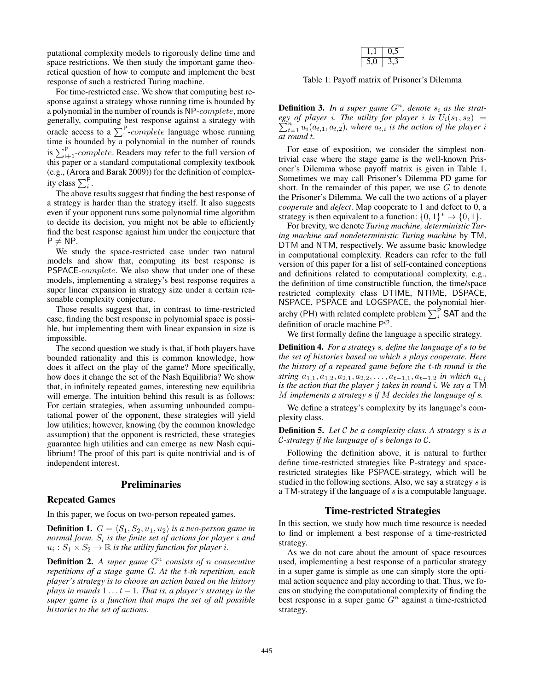putational complexity models to rigorously define time and space restrictions. We then study the important game theoretical question of how to compute and implement the best response of such a restricted Turing machine.

For time-restricted case. We show that computing best response against a strategy whose running time is bounded by a polynomial in the number of rounds is NP-complete, more generally, computing best response against a strategy with oracle access to a  $\sum_{i=1}^{P} complete$  language whose running time is bounded by a polynomial in the number of rounds is  $\sum_{i=1}^{P}$ -*complete*. Readers may refer to the full version of this paper or a standard computational complexity textbook this paper or a standard computational complexity textbook (e.g., (Arora and Barak 2009)) for the definition of complexity class  $\sum_{i}^{P}$ .<br>The above

The above results suggest that finding the best response of a strategy is harder than the strategy itself. It also suggests even if your opponent runs some polynomial time algorithm to decide its decision, you might not be able to efficiently find the best response against him under the conjecture that  $P \neq NP$ .

We study the space-restricted case under two natural models and show that, computing its best response is PSPACE-complete. We also show that under one of these models, implementing a strategy's best response requires a super linear expansion in strategy size under a certain reasonable complexity conjecture.

Those results suggest that, in contrast to time-restricted case, finding the best response in polynomial space is possible, but implementing them with linear expansion in size is impossible.

The second question we study is that, if both players have bounded rationality and this is common knowledge, how does it affect on the play of the game? More specifically, how does it change the set of the Nash Equilibria? We show that, in infinitely repeated games, interesting new equilibria will emerge. The intuition behind this result is as follows: For certain strategies, when assuming unbounded computational power of the opponent, these strategies will yield low utilities; however, knowing (by the common knowledge assumption) that the opponent is restricted, these strategies guarantee high utilities and can emerge as new Nash equilibrium! The proof of this part is quite nontrivial and is of independent interest.

## Preliminaries

#### Repeated Games

In this paper, we focus on two-person repeated games.

**Definition 1.**  $G = \langle S_1, S_2, u_1, u_2 \rangle$  *is a two-person game in normal form.*  $S_i$  *is the finite set of actions for player i and*  $u_i : S_1 \times S_2 \to \mathbb{R}$  *is the utility function for player i.* 

**Definition 2.** A super game  $G<sup>n</sup>$  consists of *n* consecutive *repetitions of a stage game* G*. At the* t*-th repetition, each player's strategy is to choose an action based on the history plays in rounds*  $1 \ldots t - 1$ *. That is, a player's strategy in the super game is a function that maps the set of all possible histories to the set of actions.*

Table 1: Payoff matrix of Prisoner's Dilemma

**Definition 3.** *In a super game*  $G<sup>n</sup>$ *, denote*  $s<sub>i</sub>$  *as the strat-egy of player i*. The utility for player *i* is  $U<sub>i</sub>(s<sub>1</sub>, s<sub>2</sub>)$  =  $\sum$ *egy of player i. The utility for player i is*  $U_i(s_1, s_2) = \sum_{t=1}^{n} u_i(a_{t,1}, a_{t,2})$ *, where*  $a_{t,i}$  *is the action of the player in tround t at round* t*.*

For ease of exposition, we consider the simplest nontrivial case where the stage game is the well-known Prisoner's Dilemma whose payoff matrix is given in Table 1. Sometimes we may call Prisoner's Dilemma PD game for short. In the remainder of this paper, we use  $G$  to denote the Prisoner's Dilemma. We call the two actions of a player *cooperate* and *defect*. Map cooperate to 1 and defect to 0, a strategy is then equivalent to a function:  $\{0,1\}^* \rightarrow \{0,1\}.$ 

For brevity, we denote *Turing machine, deterministic Turing machine and nondeterministic Turing machine* by TM, DTM and NTM, respectively. We assume basic knowledge in computational complexity. Readers can refer to the full version of this paper for a list of self-contained conceptions and definitions related to computational complexity, e.g., the definition of time constructible function, the time/space restricted complexity class DTIME, NTIME, DSPACE, NSPACE, PSPACE and LOGSPACE, the polynomial hierarchy (PH) with related complete problem  $\sum_i^P$  **SAT** and the definition of oracle machine P<sup>O</sup>.

We first formally define the language a specific strategy.

Definition 4. *For a strategy* s*, define the language of* s *to be the set of histories based on which* s *plays cooperate. Here the history of a repeated game before the* t*-th round is the string*  $a_{1,1}, a_{1,2}, a_{2,1}, a_{2,2}, \ldots, a_{t-1,1}, a_{t-1,2}$  *in which*  $a_{i,j}$ *is the action that the player* j *takes in round* i*. We say a* TM M *implements a strategy* s *if* M *decides the language of* s*.*

We define a strategy's complexity by its language's complexity class.

Definition 5. *Let* <sup>C</sup> *be a complexity class. A strategy* s *is a* <sup>C</sup>*-strategy if the language of* s *belongs to* <sup>C</sup>*.*

Following the definition above, it is natural to further define time-restricted strategies like P-strategy and spacerestricted strategies like PSPACE-strategy, which will be studied in the following sections. Also, we say a strategy  $s$  is <sup>a</sup> TM-strategy if the language of s is a computable language.

#### Time-restricted Strategies

In this section, we study how much time resource is needed to find or implement a best response of a time-restricted strategy.

As we do not care about the amount of space resources used, implementing a best response of a particular strategy in a super game is simple as one can simply store the optimal action sequence and play according to that. Thus, we focus on studying the computational complexity of finding the best response in a super game  $G<sup>n</sup>$  against a time-restricted strategy.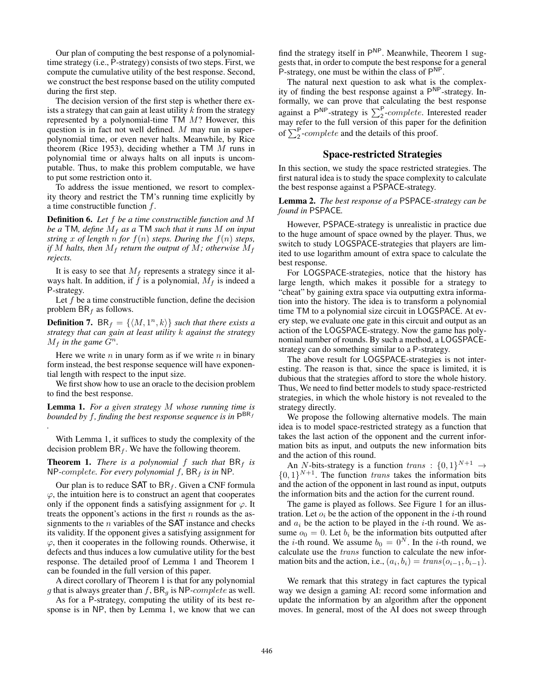Our plan of computing the best response of a polynomialtime strategy (i.e., P-strategy) consists of two steps. First, we compute the cumulative utility of the best response. Second, we construct the best response based on the utility computed during the first step.

The decision version of the first step is whether there exists a strategy that can gain at least utility  $k$  from the strategy represented by a polynomial-time TM M? However, this question is in fact not well defined. M may run in superpolynomial time, or even never halts. Meanwhile, by Rice theorem (Rice 1953), deciding whether a  $TM$  *M* runs in polynomial time or always halts on all inputs is uncomputable. Thus, to make this problem computable, we have to put some restriction onto it.

To address the issue mentioned, we resort to complexity theory and restrict the TM's running time explicitly by a time constructible function  $f$ .

Definition 6. *Let* f *be a time constructible function and* M *be a* TM*, define* <sup>M</sup>f *as a* TM *such that it runs* <sup>M</sup> *on input string* x of length n for  $f(n)$  *steps. During the*  $f(n)$  *steps, if* M halts, then  $M_f$  *return the output of*  $M$ *; otherwise*  $M_f$ *rejects.*

It is easy to see that  $M_f$  represents a strategy since it always halt. In addition, if  $\hat{f}$  is a polynomial,  $M_f$  is indeed a P-strategy.

Let  $f$  be a time constructible function, define the decision problem  $BR_f$  as follows.

**Definition 7.** BR<sub>f</sub> = { $\langle M, 1^n, k \rangle$ } such that there exists a *strategy that can gain at least utility* k *against the strategy*  $M_f$  *in the game*  $G^n$ .

Here we write  $n$  in unary form as if we write  $n$  in binary form instead, the best response sequence will have exponential length with respect to the input size.

We first show how to use an oracle to the decision problem to find the best response.

Lemma 1. *For a given strategy* M *whose running time is bounded by f, finding the best response sequence is in*  $P^{BR_f}$ *.*

With Lemma 1, it suffices to study the complexity of the decision problem  $BR_f$ . We have the following theorem.

**Theorem 1.** *There is a polynomial* f *such that*  $BR_f$  *is* NP-complete. For every polynomial  $f$ , BR<sub>f</sub> is in NP.

Our plan is to reduce  $\mathsf{SAT}$  to  $\mathsf{BR}_f$ . Given a CNF formula  $\varphi$ , the intuition here is to construct an agent that cooperates only if the opponent finds a satisfying assignment for  $\varphi$ . It treats the opponent's actions in the first  $n$  rounds as the assignments to the  $n$  variables of the SAT instance and checks its validity. If the opponent gives a satisfying assignment for  $\varphi$ , then it cooperates in the following rounds. Otherwise, it defects and thus induces a low cumulative utility for the best response. The detailed proof of Lemma 1 and Theorem 1 can be founded in the full version of this paper.

A direct corollary of Theorem 1 is that for any polynomial g that is always greater than f,  $BR<sub>q</sub>$  is NP-complete as well.

As for a P-strategy, computing the utility of its best response is in NP, then by Lemma 1, we know that we can

find the strategy itself in  $P^{NP}$ . Meanwhile, Theorem 1 suggests that, in order to compute the best response for a general P-strategy, one must be within the class of  $P^{NP}$ .

The natural next question to ask what is the complexity of finding the best response against a  $P^{NP}$ -strategy. Informally, we can prove that calculating the best response against a P<sup>NP</sup>-strategy is  $\sum_{i=2}^{P} complete$ . Interested reader may refer to the full version of this paper for the definition of  $\sum_{2}^{P}$ -*complete* and the details of this proof.

### Space-restricted Strategies

In this section, we study the space restricted strategies. The first natural idea is to study the space complexity to calculate the best response against a PSPACE-strategy.

#### Lemma 2. *The best response of a* PSPACE*-strategy can be found in* PSPACE*.*

However, PSPACE-strategy is unrealistic in practice due to the huge amount of space owned by the player. Thus, we switch to study LOGSPACE-strategies that players are limited to use logarithm amount of extra space to calculate the best response.

For LOGSPACE-strategies, notice that the history has large length, which makes it possible for a strategy to "cheat" by gaining extra space via outputting extra information into the history. The idea is to transform a polynomial time TM to a polynomial size circuit in LOGSPACE. At every step, we evaluate one gate in this circuit and output as an action of the LOGSPACE-strategy. Now the game has polynomial number of rounds. By such a method, a LOGSPACEstrategy can do something similar to a P-strategy.

The above result for LOGSPACE-strategies is not interesting. The reason is that, since the space is limited, it is dubious that the strategies afford to store the whole history. Thus, We need to find better models to study space-restricted strategies, in which the whole history is not revealed to the strategy directly.

We propose the following alternative models. The main idea is to model space-restricted strategy as a function that takes the last action of the opponent and the current information bits as input, and outputs the new information bits and the action of this round.

An N-bits-strategy is a function trans :  $\{0,1\}^{N+1} \rightarrow$  $\{0, 1\}^{N+1}$ . The function *trans* takes the information bits and the action of the opponent in last round as input, outputs the information bits and the action for the current round.

The game is played as follows. See Figure 1 for an illustration. Let  $o_i$  be the action of the opponent in the *i*-th round and  $a_i$  be the action to be played in the *i*-th round. We assume  $o_0 = 0$ . Let  $b_i$  be the information bits outputted after the *i*-th round. We assume  $b_0 = 0^N$ . In the *i*-th round, we calculate use the trans function to calculate the new information bits and the action, i.e.,  $(a_i, b_i) = trans(o_{i-1}, b_{i-1}).$ 

We remark that this strategy in fact captures the typical way we design a gaming AI: record some information and update the information by an algorithm after the opponent moves. In general, most of the AI does not sweep through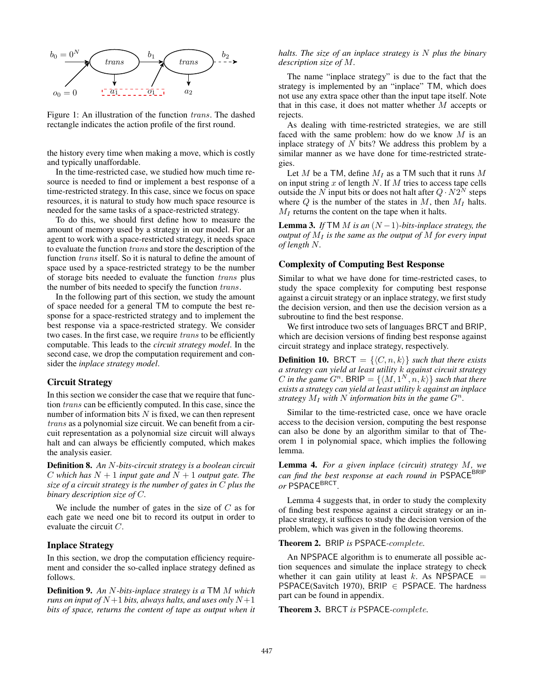

Figure 1: An illustration of the function trans. The dashed rectangle indicates the action profile of the first round.

the history every time when making a move, which is costly and typically unaffordable.

In the time-restricted case, we studied how much time resource is needed to find or implement a best response of a time-restricted strategy. In this case, since we focus on space resources, it is natural to study how much space resource is needed for the same tasks of a space-restricted strategy.

To do this, we should first define how to measure the amount of memory used by a strategy in our model. For an agent to work with a space-restricted strategy, it needs space to evaluate the function trans and store the description of the function trans itself. So it is natural to define the amount of space used by a space-restricted strategy to be the number of storage bits needed to evaluate the function trans plus the number of bits needed to specify the function trans.

In the following part of this section, we study the amount of space needed for a general TM to compute the best response for a space-restricted strategy and to implement the best response via a space-restricted strategy. We consider two cases. In the first case, we require trans to be efficiently computable. This leads to the *circuit strategy model*. In the second case, we drop the computation requirement and consider the *inplace strategy model*.

#### Circuit Strategy

In this section we consider the case that we require that function trans can be efficiently computed. In this case, since the number of information bits  $N$  is fixed, we can then represent trans as a polynomial size circuit. We can benefit from a circuit representation as a polynomial size circuit will always halt and can always be efficiently computed, which makes the analysis easier.

Definition 8. *An* N*-bits-circuit strategy is a boolean circuit* C which has  $N + 1$  *input gate and*  $N + 1$  *output gate. The size of a circuit strategy is the number of gates in* C *plus the binary description size of* C*.*

We include the number of gates in the size of  $C$  as for each gate we need one bit to record its output in order to evaluate the circuit C.

#### Inplace Strategy

In this section, we drop the computation efficiency requirement and consider the so-called inplace strategy defined as follows.

Definition 9. *An* N*-bits-inplace strategy is a* TM M *which runs on input of*  $N+1$  *bits, always halts, and uses only*  $N+1$ *bits of space, returns the content of tape as output when it*

## *halts. The size of an inplace strategy is* N *plus the binary description size of* M*.*

The name "inplace strategy" is due to the fact that the strategy is implemented by an "inplace" TM, which does not use any extra space other than the input tape itself. Note that in this case, it does not matter whether  $M$  accepts or rejects.

As dealing with time-restricted strategies, we are still faced with the same problem: how do we know  $M$  is an inplace strategy of  $N$  bits? We address this problem by a similar manner as we have done for time-restricted strategies.

Let M be a TM, define  $M_I$  as a TM such that it runs M on input string  $x$  of length  $N$ . If  $M$  tries to access tape cells outside the N input bits or does not halt after  $Q \cdot N2^N$  steps where  $Q$  is the number of the states in  $M$ , then  $M_I$  halts.  $M_I$  returns the content on the tape when it halts.

**Lemma 3.** *If*  $TM M$  *is an*  $(N-1)$ *-bits-inplace strategy, the output of*  $M_I$  *is the same as the output of*  $M$  *for every input of length* N*.*

## Complexity of Computing Best Response

Similar to what we have done for time-restricted cases, to study the space complexity for computing best response against a circuit strategy or an inplace strategy, we first study the decision version, and then use the decision version as a subroutine to find the best response.

We first introduce two sets of languages BRCT and BRIP, which are decision versions of finding best response against circuit strategy and inplace strategy, respectively.

**Definition 10.** BRCT =  $\{\langle C, n, k \rangle\}$  such that there exists *a strategy can yield at least utility* k *against circuit strategy* C in the game  $G^n$ . BRIP =  $\{\langle M, 1^N, n, k \rangle\}$  such that there *exists a strategy can yield at least utility* k *against an inplace strategy*  $M_I$  *with* N *information bits in the game*  $G^n$ .

Similar to the time-restricted case, once we have oracle access to the decision version, computing the best response can also be done by an algorithm similar to that of Theorem 1 in polynomial space, which implies the following lemma.

Lemma 4. *For a given inplace (circuit) strategy* M*, we can find the best response at each round in* PSPACE<sup>BRIP</sup> *or* PSPACEBRCT*.*

Lemma 4 suggests that, in order to study the complexity of finding best response against a circuit strategy or an inplace strategy, it suffices to study the decision version of the problem, which was given in the following theorems.

Theorem 2. BRIP *is* PSPACE*-*complete*.*

An NPSPACE algorithm is to enumerate all possible action sequences and simulate the inplace strategy to check whether it can gain utility at least k. As NPSPACE  $=$ PSPACE(Savitch 1970), BRIP  $\in$  PSPACE. The hardness part can be found in appendix.

Theorem 3. BRCT *is* PSPACE*-*complete*.*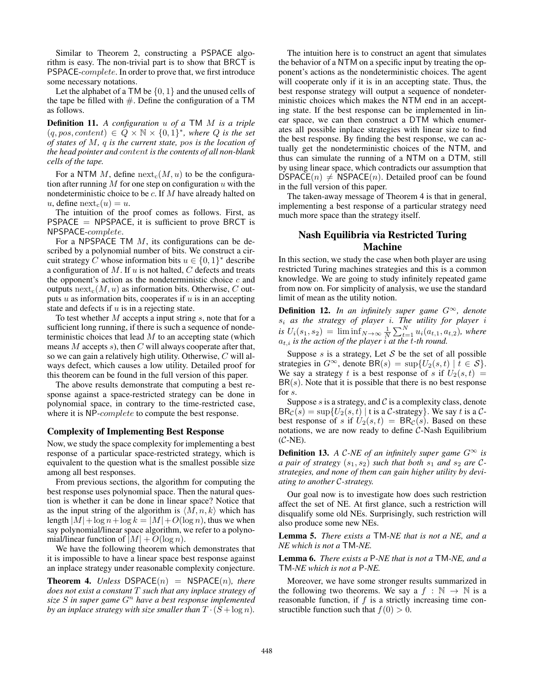Similar to Theorem 2, constructing a PSPACE algorithm is easy. The non-trivial part is to show that BRCT is PSPACE-complete. In order to prove that, we first introduce some necessary notations.

Let the alphabet of a TM be  $\{0, 1\}$  and the unused cells of the tape be filled with  $#$ . Define the configuration of a TM as follows.

Definition 11. *A configuration* u *of a* TM M *is a triple*  $(q, pos, content) \in Q \times \mathbb{N} \times \{0,1\}^*$ , where Q is the set *of states of* M*,* q *is the current state,* pos *is the location of the head pointer and* content *is the contents of all non-blank cells of the tape.*

For a NTM M, define  $\operatorname{next}_{c}(M, u)$  to be the configuration after running M for one step on configuration  $u$  with the nondeterministic choice to be c. If M have already halted on u, define  $next_c(u) = u$ .

The intuition of the proof comes as follows. First, as  $PSPACE = NPSPACE$ , it is sufficient to prove BRCT is NPSPACE-complete.

For a NPSPACE TM  $M$ , its configurations can be described by a polynomial number of bits. We construct a circuit strategy C whose information bits  $u \in \{0, 1\}^*$  describe a configuration of  $M$ . If  $u$  is not halted,  $C$  defects and treats the opponent's action as the nondeterministic choice  $c$  and outputs  $next_c(M, u)$  as information bits. Otherwise, C outputs  $u$  as information bits, cooperates if  $u$  is in an accepting state and defects if  $u$  is in a rejecting state.

To test whether  $M$  accepts a input string  $s$ , note that for a sufficient long running, if there is such a sequence of nondeterministic choices that lead  $M$  to an accepting state (which means  $M$  accepts  $s$ ), then  $C$  will always cooperate after that, so we can gain a relatively high utility. Otherwise, C will always defect, which causes a low utility. Detailed proof for this theorem can be found in the full version of this paper.

The above results demonstrate that computing a best response against a space-restricted strategy can be done in polynomial space, in contrary to the time-restricted case, where it is NP-*complete* to compute the best response.

## Complexity of Implementing Best Response

Now, we study the space complexity for implementing a best response of a particular space-restricted strategy, which is equivalent to the question what is the smallest possible size among all best responses.

From previous sections, the algorithm for computing the best response uses polynomial space. Then the natural question is whether it can be done in linear space? Notice that as the input string of the algorithm is  $\langle M, n, k \rangle$  which has length  $|M| + \log n + \log k = |M| + O(\log n)$ , thus we when say polynomial/linear space algorithm, we refer to a polynomial/linear function of  $|M| + O(\log n)$ .

We have the following theorem which demonstrates that it is impossible to have a linear space best response against an inplace strategy under reasonable complexity conjecture.

**Theorem 4.** *Unless* DSPACE $(n)$  = NSPACE $(n)$ *, there does not exist a constant* T *such that any inplace strategy of size* S *in super game* G<sup>n</sup> *have a best response implemented by an inplace strategy with size smaller than*  $T \cdot (S + \log n)$ *.* 

The intuition here is to construct an agent that simulates the behavior of a NTM on a specific input by treating the opponent's actions as the nondeterministic choices. The agent will cooperate only if it is in an accepting state. Thus, the best response strategy will output a sequence of nondeterministic choices which makes the NTM end in an accepting state. If the best response can be implemented in linear space, we can then construct a DTM which enumerates all possible inplace strategies with linear size to find the best response. By finding the best response, we can actually get the nondeterministic choices of the NTM, and thus can simulate the running of a NTM on a DTM, still by using linear space, which contradicts our assumption that  $DSPACE(n) \neq NSPACE(n)$ . Detailed proof can be found in the full version of this paper.

The taken-away message of Theorem 4 is that in general, implementing a best response of a particular strategy need much more space than the strategy itself.

## Nash Equilibria via Restricted Turing Machine

In this section, we study the case when both player are using restricted Turing machines strategies and this is a common knowledge. We are going to study infinitely repeated game from now on. For simplicity of analysis, we use the standard limit of mean as the utility notion.

Definition 12. *In an infinitely super game* G<sup>∞</sup>*, denote* <sup>s</sup>i *as the strategy of player* <sup>i</sup>*. The utility for player* <sup>i</sup> *is*  $U_i(s_1, s_2) = \liminf_{N \to \infty} \frac{1}{N} \sum_{t=1}^{N} u_i(a_{t,1}, a_{t,2})$ , where  $a_{t,i}$  is the action of the player i at the *t*-th round.  $a_{t,i}$  *is the action of the player i at the t-th round.* 

Suppose s is a strategy, Let  $S$  be the set of all possible strategies in  $G^{\infty}$ , denote  $BR(s) = \sup\{U_2(s,t) \mid t \in S\}.$ We say a strategy t is a best response of s if  $U_2(s,t)$  =  $BR(s)$ . Note that it is possible that there is no best response for s.

Suppose  $s$  is a strategy, and  $\mathcal C$  is a complexity class, denote  $BR_C(s) = \sup \{ U_2(s,t) \mid t \text{ is a } C \text{-strategy} \}.$  We say t is a Cbest response of s if  $U_2(s,t) = BR<sub>C</sub>(s)$ . Based on these notations, we are now ready to define  $C$ -Nash Equilibrium  $(C-NE)$ .

**Definition 13.** *A C-NE of an infinitely super game*  $G^{\infty}$  *is a pair of strategy*  $(s_1, s_2)$  *such that both*  $s_1$  *and*  $s_2$  *are* C*strategies, and none of them can gain higher utility by deviating to another* C*-strategy.*

Our goal now is to investigate how does such restriction affect the set of NE. At first glance, such a restriction will disqualify some old NEs. Surprisingly, such restriction will also produce some new NEs.

Lemma 5. *There exists a* TM*-NE that is not a NE, and a NE which is not a* TM*-NE.*

Lemma 6. *There exists a* P*-NE that is not a* TM*-NE, and a* TM*-NE which is not a* P*-NE.*

Moreover, we have some stronger results summarized in the following two theorems. We say a  $f : \mathbb{N} \to \mathbb{N}$  is a reasonable function, if  $f$  is a strictly increasing time constructible function such that  $f(0) > 0$ .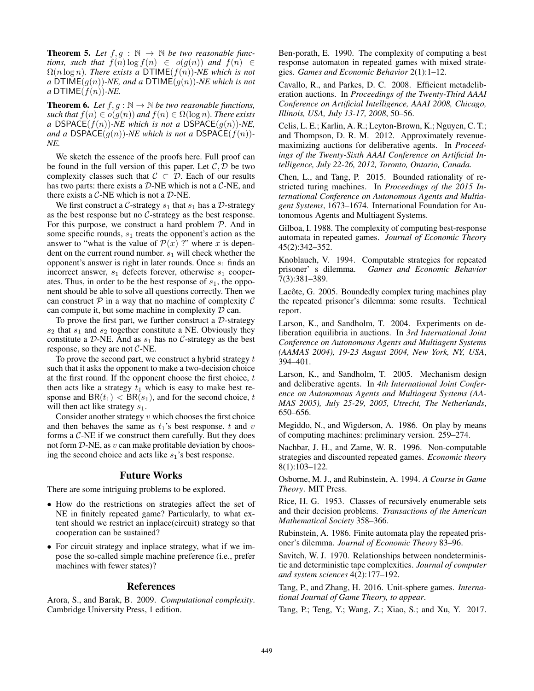**Theorem 5.** Let  $f, g : \mathbb{N} \to \mathbb{N}$  be two reasonable func*tions, such that*  $f(n) \log f(n) \in o(g(n))$  *and*  $f(n) \in$  $\Omega(n \log n)$ *. There exists a* DTIME $(f(n))$ *-NE which is not a* DTIME $(g(n))$ -*NE, and a* DTIME $(g(n))$ -*NE which is not*  $a$  DTIME $(f(n))$ *-NE*.

**Theorem 6.** *Let*  $f, g : \mathbb{N} \to \mathbb{N}$  *be two reasonable functions, such that*  $f(n) \in o(g(n))$  *and*  $f(n) \in \Omega(\log n)$ *. There exists a* DSPACE( $f(n)$ )*-NE which is not a* DSPACE( $g(n)$ )*-NE*, *and a* DSPACE $(g(n))$ *-NE which is not a* DSPACE $(f(n))$ *-NE.*

We sketch the essence of the proofs here. Full proof can be found in the full version of this paper. Let  $C, D$  be two complexity classes such that  $C \subset \mathcal{D}$ . Each of our results has two parts: there exists a  $D$ -NE which is not a  $C$ -NE, and there exists a  $C$ -NE which is not a  $D$ -NE.

We first construct a C-strategy  $s_1$  that  $s_1$  has a D-strategy as the best response but no C-strategy as the best response. For this purpose, we construct a hard problem  $P$ . And in some specific rounds,  $s_1$  treats the opponent's action as the answer to "what is the value of  $\mathcal{P}(x)$  ?" where x is dependent on the current round number.  $s_1$  will check whether the opponent's answer is right in later rounds. Once  $s_1$  finds an incorrect answer,  $s_1$  defects forever, otherwise  $s_1$  cooperates. Thus, in order to be the best response of  $s<sub>1</sub>$ , the opponent should be able to solve all questions correctly. Then we can construct  $P$  in a way that no machine of complexity  $C$ can compute it, but some machine in complexity  $D$  can.

To prove the first part, we further construct a  $D$ -strategy  $s_2$  that  $s_1$  and  $s_2$  together constitute a NE. Obviously they constitute a D-NE. And as  $s_1$  has no C-strategy as the best response, so they are not  $C$ -NE.

To prove the second part, we construct a hybrid strategy  $t$ such that it asks the opponent to make a two-decision choice at the first round. If the opponent choose the first choice,  $t$ then acts like a strategy  $t_1$  which is easy to make best response and  $BR(t_1) < BR(s_1)$ , and for the second choice, t will then act like strategy  $s_1$ .

Consider another strategy  $v$  which chooses the first choice and then behaves the same as  $t_1$ 's best response.  $t$  and  $v$ forms a C-NE if we construct them carefully. But they does not form  $D$ -NE, as  $v$  can make profitable deviation by choosing the second choice and acts like  $s_1$ 's best response.

### Future Works

There are some intriguing problems to be explored.

- How do the restrictions on strategies affect the set of NE in finitely repeated game? Particularly, to what extent should we restrict an inplace(circuit) strategy so that cooperation can be sustained?
- For circuit strategy and inplace strategy, what if we impose the so-called simple machine preference (i.e., prefer machines with fewer states)?

## References

Arora, S., and Barak, B. 2009. *Computational complexity*. Cambridge University Press, 1 edition.

Ben-porath, E. 1990. The complexity of computing a best response automaton in repeated games with mixed strategies. *Games and Economic Behavior* 2(1):1–12.

Cavallo, R., and Parkes, D. C. 2008. Efficient metadeliberation auctions. In *Proceedings of the Twenty-Third AAAI Conference on Artificial Intelligence, AAAI 2008, Chicago, Illinois, USA, July 13-17, 2008*, 50–56.

Celis, L. E.; Karlin, A. R.; Leyton-Brown, K.; Nguyen, C. T.; and Thompson, D. R. M. 2012. Approximately revenuemaximizing auctions for deliberative agents. In *Proceedings of the Twenty-Sixth AAAI Conference on Artificial Intelligence, July 22-26, 2012, Toronto, Ontario, Canada.*

Chen, L., and Tang, P. 2015. Bounded rationality of restricted turing machines. In *Proceedings of the 2015 International Conference on Autonomous Agents and Multiagent Systems*, 1673–1674. International Foundation for Autonomous Agents and Multiagent Systems.

Gilboa, I. 1988. The complexity of computing best-response automata in repeated games. *Journal of Economic Theory* 45(2):342–352.

Knoblauch, V. 1994. Computable strategies for repeated prisoner' s dilemma. *Games and Economic Behavior* 7(3):381–389.

Lacôte, G. 2005. Boundedly complex turing machines play the repeated prisoner's dilemma: some results. Technical report.

Larson, K., and Sandholm, T. 2004. Experiments on deliberation equilibria in auctions. In *3rd International Joint Conference on Autonomous Agents and Multiagent Systems (AAMAS 2004), 19-23 August 2004, New York, NY, USA*, 394–401.

Larson, K., and Sandholm, T. 2005. Mechanism design and deliberative agents. In *4th International Joint Conference on Autonomous Agents and Multiagent Systems (AA-MAS 2005), July 25-29, 2005, Utrecht, The Netherlands*, 650–656.

Megiddo, N., and Wigderson, A. 1986. On play by means of computing machines: preliminary version. 259–274.

Nachbar, J. H., and Zame, W. R. 1996. Non-computable strategies and discounted repeated games. *Economic theory* 8(1):103–122.

Osborne, M. J., and Rubinstein, A. 1994. *A Course in Game Theory*. MIT Press.

Rice, H. G. 1953. Classes of recursively enumerable sets and their decision problems. *Transactions of the American Mathematical Society* 358–366.

Rubinstein, A. 1986. Finite automata play the repeated prisoner's dilemma. *Journal of Economic Theory* 83–96.

Savitch, W. J. 1970. Relationships between nondeterministic and deterministic tape complexities. *Journal of computer and system sciences* 4(2):177–192.

Tang, P., and Zhang, H. 2016. Unit-sphere games. *International Journal of Game Theory, to appear*.

Tang, P.; Teng, Y.; Wang, Z.; Xiao, S.; and Xu, Y. 2017.